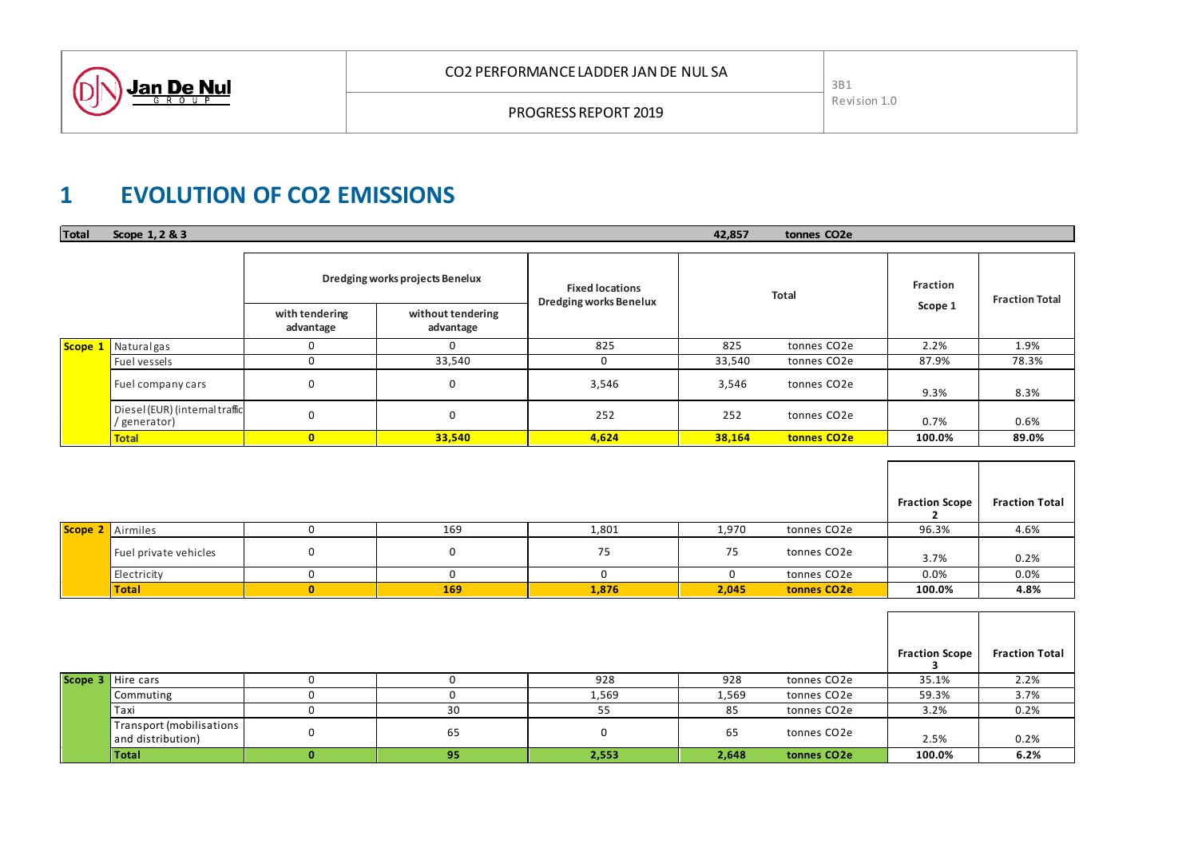

# **1 EVOLUTION OF CO2 EMISSIONS**

| <b>Total</b> | Scope 1, 2 & 3                                 | 42,857<br>tonnes CO <sub>2</sub> e |                                |                                                         |        |                         |         |                       |
|--------------|------------------------------------------------|------------------------------------|--------------------------------|---------------------------------------------------------|--------|-------------------------|---------|-----------------------|
|              |                                                | Dredging works projects Benelux    |                                | <b>Fixed locations</b><br><b>Dredging works Benelux</b> |        | <b>Total</b>            |         | <b>Fraction Total</b> |
|              |                                                | with tendering<br>advantage        | without tendering<br>advantage |                                                         |        |                         | Scope 1 |                       |
|              | Scope 1 Naturalgas                             | C                                  |                                | 825                                                     | 825    | tonnes CO <sub>2e</sub> | 2.2%    | 1.9%                  |
|              | Fuel vessels                                   | 0                                  | 33,540                         | U                                                       | 33,540 | tonnes CO2e             | 87.9%   | 78.3%                 |
|              | Fuel company cars                              | 0                                  | 0                              | 3,546                                                   | 3,546  | tonnes CO <sub>2e</sub> | 9.3%    | 8.3%                  |
|              | Diesel (EUR) (internal traffic<br>/ generator) | $\mathbf 0$                        | 0                              | 252                                                     | 252    | tonnes CO <sub>2e</sub> | 0.7%    | 0.6%                  |
|              | <b>Total</b>                                   | $\mathbf{0}$                       | 33,540                         | 4,624                                                   | 38,164 | tonnes CO <sub>2e</sub> | 100.0%  | 89.0%                 |

|  |                         |   |     |       |       |                         | <b>Fraction Scope</b> | <b>Fraction Total</b> |
|--|-------------------------|---|-----|-------|-------|-------------------------|-----------------------|-----------------------|
|  | <b>Scope 2</b> Airmiles |   | 169 | 1,801 | 1,970 | tonnes CO2e             | 96.3%                 | 4.6%                  |
|  | Fuel private vehicles   | 0 |     | 75    | 75    | tonnes CO2e             | 3.7%                  | 0.2%                  |
|  | Electricity             |   |     |       |       | tonnes CO2e             | 0.0%                  | 0.0%                  |
|  | Total                   |   | 169 | 1,876 | 2,045 | tonnes CO <sub>2e</sub> | 100.0%                | 4.8%                  |

|  |                                                       |    |       |       |             | <b>Fraction Scope</b> | <b>Fraction Total</b> |
|--|-------------------------------------------------------|----|-------|-------|-------------|-----------------------|-----------------------|
|  | Scope 3 Hire cars                                     |    | 928   | 928   | tonnes CO2e | 35.1%                 | 2.2%                  |
|  | Commuting                                             |    | 1,569 | 1,569 | tonnes CO2e | 59.3%                 | 3.7%                  |
|  | <b>Taxi</b>                                           | 30 | 55    | 85    | tonnes CO2e | 3.2%                  | 0.2%                  |
|  | <b>Transport (mobilisations)</b><br>and distribution) | 65 |       | 65    | tonnes CO2e | 2.5%                  | 0.2%                  |
|  | Total                                                 | 95 | 2,553 | 2,648 | tonnes CO2e | 100.0%                | 6.2%                  |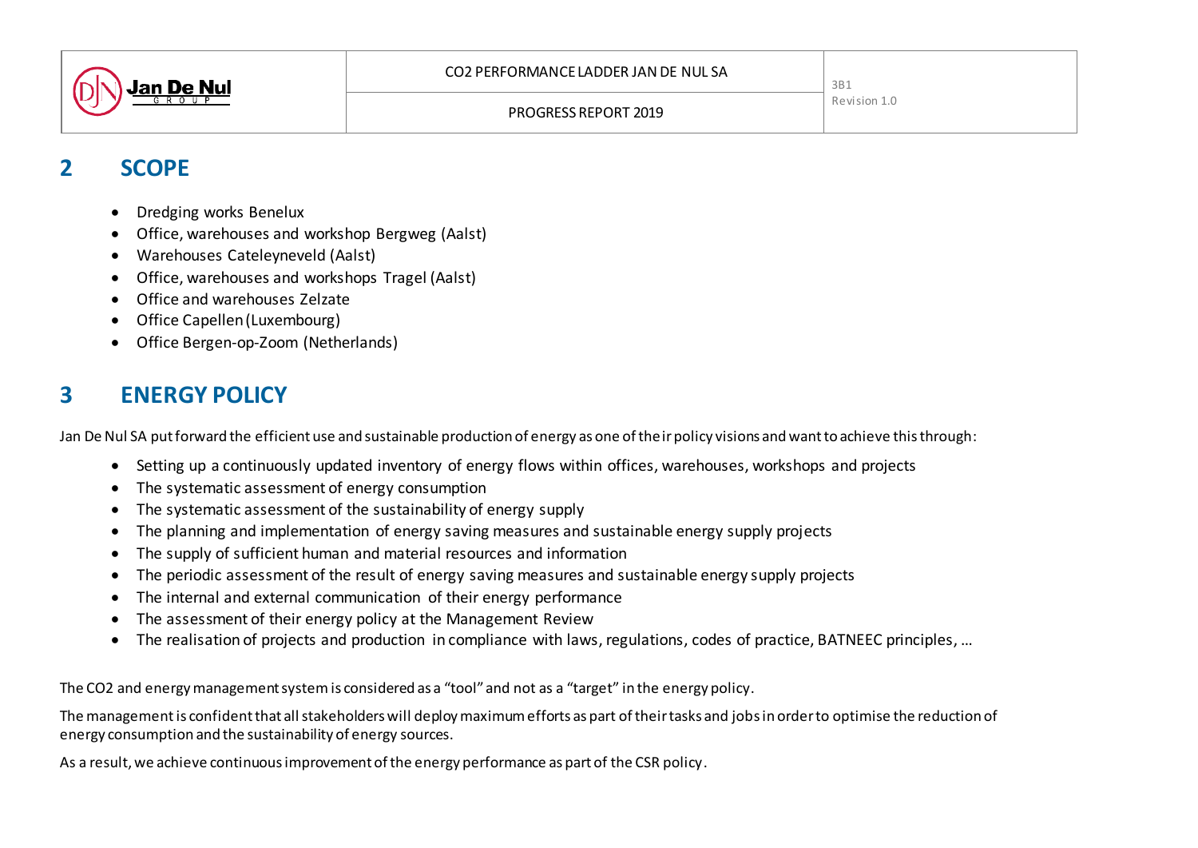

3B1 Revision 1.0

## **2 SCOPE**

- Dredging works Benelux
- Office, warehouses and workshop Bergweg (Aalst)
- Warehouses Cateleyneveld (Aalst)
- Office, warehouses and workshops Tragel (Aalst)
- **Office and warehouses Zelzate**
- Office Capellen(Luxembourg)
- Office Bergen-op-Zoom (Netherlands)

# **3 ENERGY POLICY**

Jan De Nul SA put forward the efficient use and sustainable production of energy as one of their policy visions and want to achieve this through:

- Setting up a continuously updated inventory of energy flows within offices, warehouses, workshops and projects
- The systematic assessment of energy consumption
- The systematic assessment of the sustainability of energy supply
- The planning and implementation of energy saving measures and sustainable energy supply projects
- The supply of sufficient human and material resources and information
- The periodic assessment of the result of energy saving measures and sustainable energy supply projects
- The internal and external communication of their energy performance
- The assessment of their energy policy at the Management Review
- The realisation of projects and production in compliance with laws, regulations, codes of practice, BATNEEC principles, …

The CO2 and energy management system is considered as a "tool" and not as a "target" in the energy policy.

The management is confident that all stakeholders will deploy maximum efforts as part of their tasks and jobs in order to optimise the reduction of energy consumption and the sustainability of energy sources.

As a result, we achieve continuous improvement of the energy performance as part of the CSR policy.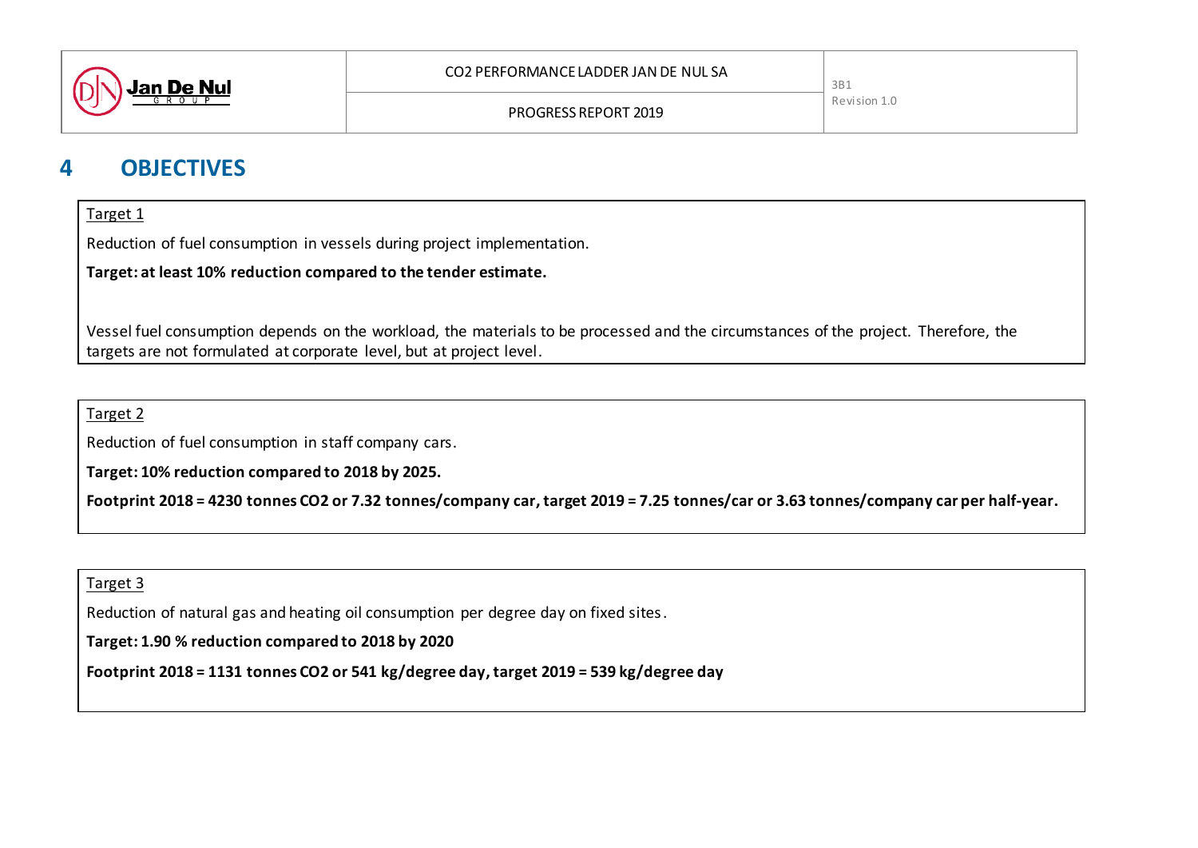

## **4 OBJECTIVES**

#### Target 1

Reduction of fuel consumption in vessels during project implementation.

**Target: at least 10% reduction compared to the tender estimate.**

Vessel fuel consumption depends on the workload, the materials to be processed and the circumstances of the project. Therefore, the targets are not formulated at corporate level, but at project level.

Target 2

Reduction of fuel consumption in staff company cars.

**Target: 10% reduction compared to 2018 by 2025.**

**Footprint 2018 = 4230 tonnes CO2 or 7.32 tonnes/company car, target 2019 = 7.25 tonnes/car or 3.63 tonnes/company car per half-year.**

### Target 3

Reduction of natural gas and heating oil consumption per degree day on fixed sites.

**Target: 1.90 % reduction compared to 2018 by 2020**

**Footprint 2018 = 1131 tonnes CO2 or 541 kg/degree day, target 2019 = 539 kg/degree day**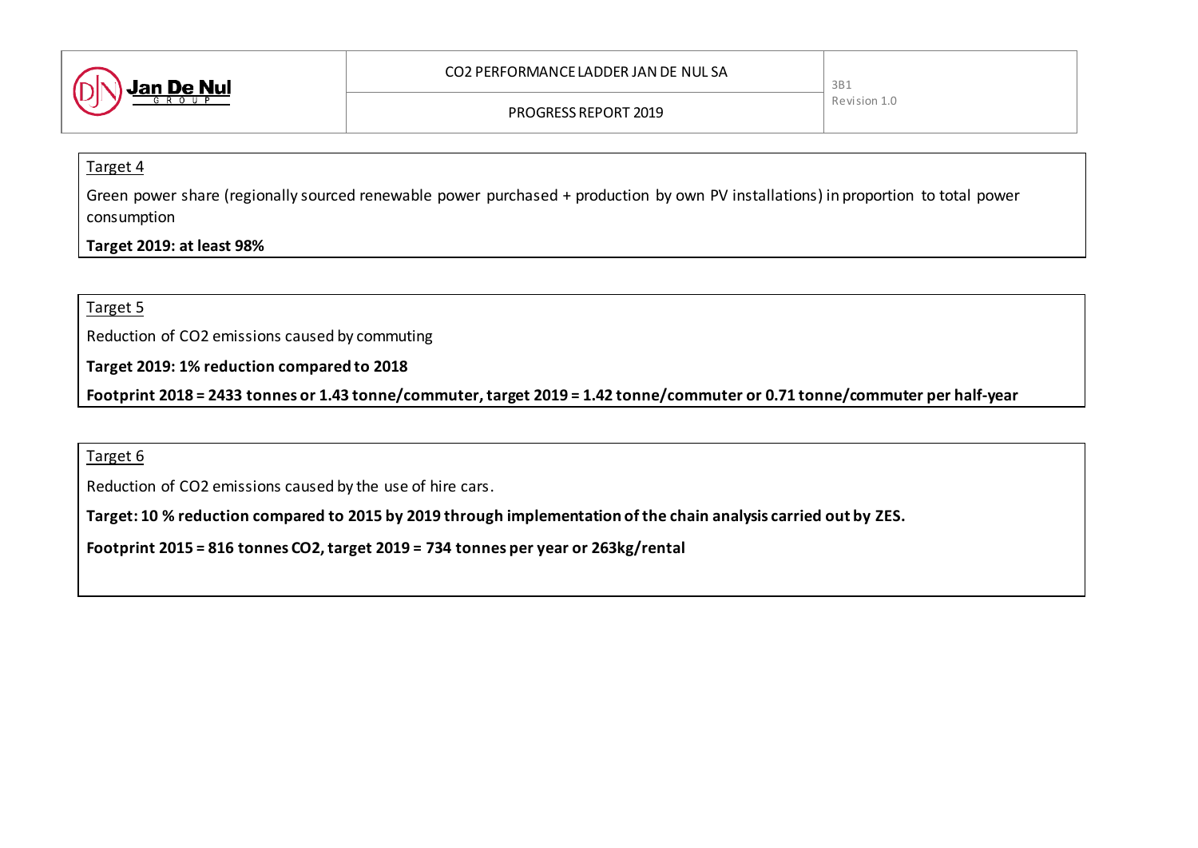

#### Target 4

Green power share (regionally sourced renewable power purchased + production by own PV installations) in proportion to total power consumption

### **Target 2019: at least 98%**

#### Target 5

Reduction of CO2 emissions caused by commuting

**Target 2019: 1% reduction compared to 2018**

**Footprint 2018 = 2433 tonnes or 1.43 tonne/commuter, target 2019 = 1.42 tonne/commuter or 0.71 tonne/commuter per half-year**

#### Target 6

Reduction of CO2 emissions caused by the use of hire cars.

**Target: 10 % reduction compared to 2015 by 2019 through implementation of the chain analysis carried out by ZES.** 

**Footprint 2015 = 816 tonnes CO2, target 2019 = 734 tonnes per year or 263kg/rental**